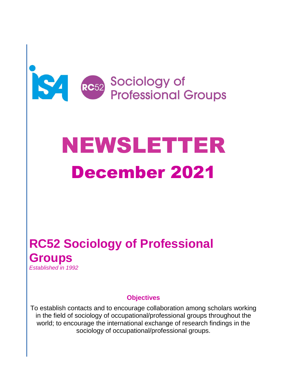

# NEWSLETTER December 2021

# **RC52 Sociology of Professional Groups** *Established in 1992*

#### **Objectives**

To establish contacts and to encourage collaboration among scholars working in the field of sociology of occupational/professional groups throughout the world; to encourage the international exchange of research findings in the sociology of occupational/professional groups.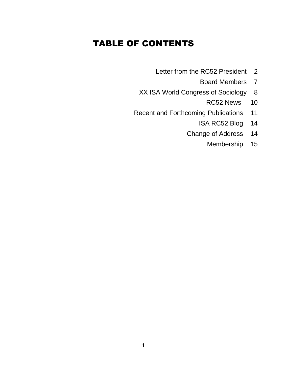# TABLE OF CONTENTS

- Letter from the RC52 President 2
	- Board Members 7
- XX ISA World Congress of Sociology 8
	- RC52 News 10
- Recent and Forthcoming Publications 11
	- ISA RC52 Blog 14
	- Change of Address 14
		- Membership 15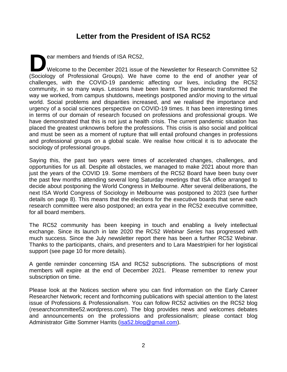### **Letter from the President of ISA RC52**

ear members and friends of ISA RC52, Welcome to the December 2021 issue of the Newsletter for Research Committee 52 ear members and friends of ISA RC52,<br>Welcome to the December 2021 issue of the Newsletter for Research Committee 52<br>(Sociology of Professional Groups). We have come to the end of another year of challenges, with the COVID-19 pandemic affecting our lives, including the RC52 community, in so many ways. Lessons have been learnt. The pandemic transformed the way we worked, from campus shutdowns, meetings postponed and/or moving to the virtual world. Social problems and disparities increased, and we realised the importance and urgency of a social sciences perspective on COVID-19 times. It has been interesting times in terms of our domain of research focused on professions and professional groups. We have demonstrated that this is not just a health crisis. The current pandemic situation has placed the greatest unknowns before the professions. This crisis is also social and political and must be seen as a moment of rupture that will entail profound changes in professions and professional groups on a global scale. We realise how critical it is to advocate the sociology of professional groups.

Saying this, the past two years were times of accelerated changes, challenges, and opportunities for us all. Despite all obstacles, we managed to make 2021 about more than just the years of the COVID 19. Some members of the RC52 Board have been busy over the past few months attending several long Saturday meetings that ISA office arranged to decide about postponing the World Congress in Melbourne. After several deliberations, the next ISA World Congress of Sociology in Melbourne was postponed to 2023 (see further details on page 8). This means that the elections for the executive boards that serve each research committee were also postponed; an extra year in the RC52 executive committee, for all board members.

The RC52 community has been keeping in touch and enabling a lively intellectual exchange. Since its launch in late 2020 the RC52 *Webinar Series* has progressed with much success. Since the July newsletter report there has been a further RC52 Webinar. Thanks to the participants, chairs, and presenters and to Lara Maestripieri for her logistical support (see page 10 for more details).

A gentle reminder concerning ISA and RC52 subscriptions. The subscriptions of most members will expire at the end of December 2021. Please remember to renew your subscription on time.

Please look at the Notices section where you can find information on the Early Career Researcher Network; recent and forthcoming publications with special attention to the latest issue of Professions & Professionalism. You can follow RC52 activities on the RC52 blog (researchcommittee52.wordpress.com). The blog provides news and welcomes debates and announcements on the professions and professionalism; please contact blog Administrator Gitte Sommer Harrits [\(isa52.blog@gmail.com\)](mailto:isa52.blog@gmail.com).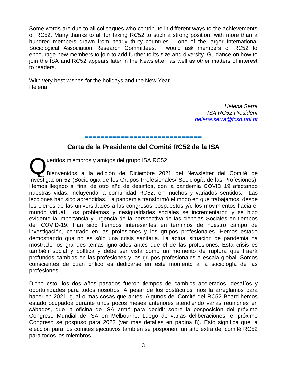Some words are due to all colleagues who contribute in different ways to the achievements of RC52. Many thanks to all for taking RC52 to such a strong position; with more than a hundred members drawn from nearly thirty countries – one of the larger International Sociological Association Research Committees. I would ask members of RC52 to encourage new members to join to add further to its size and diversity. Guidance on how to join the ISA and RC52 appears later in the Newsletter, as well as other matters of interest to readers.

With very best wishes for the holidays and the New Year Helena

> *Helena Serra ISA RC52 President [helena.serra@fcsh.unl.pt](mailto:helena.serra@fcsh.unl.pt)*

# **----------------------------- Carta de la Presidente del Comité RC52 de la ISA**

ueridos miembros y amigos del grupo ISA RC52 Bienvenidos a la edición de Diciembre 2021 del Newsletter del Comité de Investigacion 52 (Sociología de los Grupos Profesionales/ Sociología de las Profesiones). Hemos llegado al final de otro año de desafíos, con la pandemia COVID 19 afectando nuestras vidas, incluyendo la comunidad RC52, en muchos y variados sentidos. Las lecciones han sido aprendidas. La pandemia transformó el modo en que trabajamos, desde los cierres de las universidades a los congresos pospuestos y/o los movimientos hacia el mundo virtual. Los problemas y desigualdades sociales se incrementaron y se hizo evidente la importancia y urgencia de la perspectiva de las ciencias Sociales en tiempos del COVID-19. Han sido tiempos interesantes en términos de nuestro campo de investigación, centrado en las profesiones y los grupos profesionales. Hemos estado demostrando que no es sólo una crisis sanitaria. La actual situación de pandemia ha mostrado los grandes temas ignorados antes que el de las profesiones. Esta crisis es también social y política y debe ser vista como un momento de ruptura que traerá profundos cambios en las profesiones y los grupos profesionales a escala global. Somos conscientes de cuán crítico es dedicarse en este momento a la sociología de las profesiones. Q

Dicho esto, los dos años pasados fueron tiempos de cambios acelerados, desafíos y oportunidades para todos nosotros. A pesar de los obstáculos, nos la arreglamos para hacer en 2021 igual o mas cosas que antes. Algunos del Comité del RC52 Board hemos estado ocupados durante unos pocos meses anteriores atendiendo varias reuniones en sábados, que la oficina de ISA armó para decidir sobre la posposición del próximo Congreso Mundial de ISA en Melbourne. Luego de varias deliberaciones, el próximo Congreso se pospuso para 2023 (ver más detalles en página 8). Esto significa que la elección para los comités ejecutivos también se posponen: un año extra del comité RC52 para todos los miembros.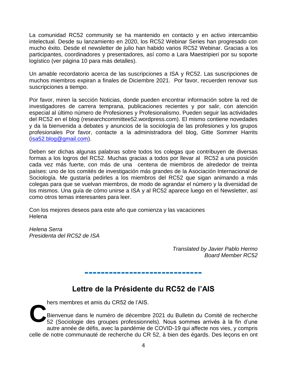La comunidad RC52 community se ha mantenido en contacto y en activo intercambio intelectual. Desde su lanzamiento en 2020, los RC52 Webinar Series han progresado con mucho éxito. Desde el newsletter de julio han habido varios RC52 Webinar. Gracias a los participantes, coordinadores y presentadores, así como a Lara Maestripieri por su soporte logístico (ver página 10 para más detalles).

Un amable recordatorio acerca de las suscripciones a ISA y RC52. Las suscripciones de muchos miembros expiran a finales de Diciembre 2021. Por favor, recuerden renovar sus suscripciones a tiempo.

Por favor, miren la sección Noticias, donde pueden encontrar información sobre la red de investigadores de carrera temprana, publicaciones recientes y por salir, con atención especial al último número de Profesiones y Profesionalismo. Pueden seguir las actividades del RC52 en el blog (researchcommittee52.wordpress.com). El mismo contiene novedades y da la bienvenida a debates y anuncios de la sociología de las profesiones y los grupos profesionales Por favor, contacte a la administradora del blog, Gitte Sommer Harrits [\(isa52.blog@gmail.com\)](mailto:isa52.blog@gmail.com).

Deben ser dichas algunas palabras sobre todos los colegas que contribuyen de diversas formas a los logros del RC52. Muchas gracias a todos por llevar al RC52 a una posición cada vez más fuerte, con más de una centena de miembros de alrededor de treinta países: uno de los comités de investigación más grandes de la Asociación Internacional de Sociología. Me gustaría pedirles a los miembros del RC52 que sigan animando a más colegas para que se vuelvan miembros, de modo de agrandar el número y la diversidad de los mismos. Una guía de cómo unirse a ISA y al RC52 aparece luego en el Newsletter, así como otros temas interesantes para leer.

Con los mejores deseos para este año que comienza y las vacaciones Helena

*Helena Serra Presidenta del RC52 de ISA* 

> *Translated by Javier Pablo Hermo Board Member RC52*

## **Lettre de la Présidente du RC52 de l'AIS**

**-----------------------------**

hers membres et amis du CR52 de l'AIS.

Bienvenue dans le numéro de décembre 2021 du Bulletin du Comité de recherche 52 (Sociologie des groupes professionnels). Nous sommes arrivés à la fin d'une autre année de défis, avec la pandémie de COVID-19 qui affecte nos vies, y compris celle de notre communauté de recherche du CR 52, à bien des égards. Des leçons en ont **C**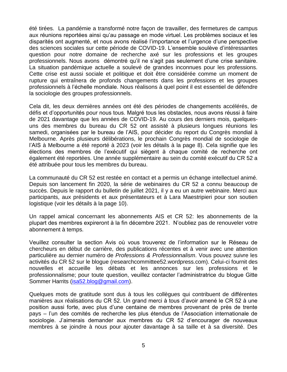été tirées. La pandémie a transformé notre façon de travailler, des fermetures de campus aux réunions reportées ainsi qu'au passage en mode virtuel. Les problèmes sociaux et les disparités ont augmenté, et nous avons réalisé l'importance et l'urgence d'une perspective des sciences sociales sur cette période de COVID-19. L'ensemble soulève d'intéressantes question pour notre domaine de recherche axé sur les professions et les groupes professionnels. Nous avons démontré qu'il ne s'agit pas seulement d'une crise sanitaire. La situation pandémique actuelle a soulevé de grandes inconnues pour les professions. Cette crise est aussi sociale et politique et doit être considérée comme un moment de rupture qui entraînera de profonds changements dans les professions et les groupes professionnels à l'échelle mondiale. Nous réalisons à quel point il est essentiel de défendre la sociologie des groupes professionnels.

Cela dit, les deux dernières années ont été des périodes de changements accélérés, de défis et d'opportunités pour nous tous. Malgré tous les obstacles, nous avons réussi à faire de 2021 davantage que les années de COVID-19. Au cours des derniers mois, quelquesuns des membres du bureau du CR 52 ont assisté à plusieurs longues réunions les samedi, organisées par le bureau de l'AIS, pour décider du report du Congrès mondial à Melbourne. Après plusieurs délibérations, le prochain Congrès mondial de sociologie de l'AIS à Melbourne a été reporté à 2023 (voir les détails à la page 8). Cela signifie que les élections des membres de l'exécutif qui siègent à chaque comité de recherche ont également été reportées. Une année supplémentaire au sein du comité exécutif du CR 52 a été attribuée pour tous les membres du bureau.

La communauté du CR 52 est restée en contact et a permis un échange intellectuel animé. Depuis son lancement fin 2020, la série de webinaires du CR 52 a connu beaucoup de succès. Depuis le rapport du bulletin de juillet 2021, il y a eu un autre webinaire. Merci aux participants, aux présidents et aux présentateurs et à Lara Maestripieri pour son soutien logistique (voir les détails à la page 10).

Un rappel amical concernant les abonnements AIS et CR 52: les abonnements de la plupart des membres expireront à la fin décembre 2021. N'oubliez pas de renouveler votre abonnement à temps.

Veuillez consulter la section Avis où vous trouverez de l'information sur le Réseau de chercheurs en début de carrière, des publications récentes et à venir avec une attention particulière au dernier numéro de *Professions & Professionnalism*. Vous pouvez suivre les activités du CR 52 sur le blogue (researchcommittee52.wordpress.com). Celui-ci fournit des nouvelles et accueille les débats et les annonces sur les professions et le professionnalisme; pour toute question, veuillez contacter l'administratrice du blogue Gitte Sommer Harrits [\(isa52.blog@gmail.com\)](mailto:isa52.blog@gmail.com).

Quelques mots de gratitude sont dus à tous les collègues qui contribuent de différentes manières aux réalisations du CR 52. Un grand merci à tous d'avoir amené le CR 52 à une position aussi forte, avec plus d'une centaine de membres provenant de près de trente pays – l'un des comités de recherche les plus étendus de l'Association internationale de sociologie. J'aimerais demander aux membres du CR 52 d'encourager de nouveaux membres à se joindre à nous pour ajouter davantage à sa taille et à sa diversité. Des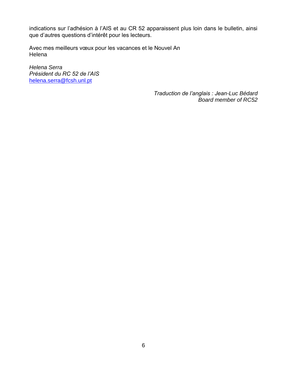indications sur l'adhésion à l'AIS et au CR 52 apparaissent plus loin dans le bulletin, ainsi que d'autres questions d'intérêt pour les lecteurs.

Avec mes meilleurs vœux pour les vacances et le Nouvel An Helena

*Helena Serra Président du RC 52 de l'AIS* [helena.serra@fcsh.unl.pt](mailto:helena.serra@fcsh.unl.pt)

> *Traduction de l'anglais : Jean-Luc Bédard Board member of RC52*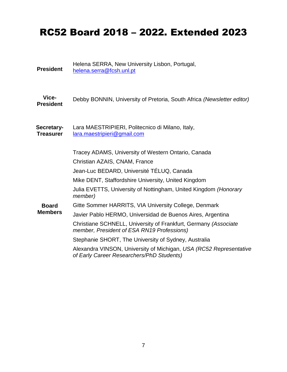# RC52 Board 2018 – 2022. Extended 2023

Helena SERRA, New University Lisbon, Portugal,

[helena.serra@fcsh.unl.pt](mailto:mailto:helena.serra@fcsh.unl.pt)

**President**

| Vice-<br><b>President</b>      | Debby BONNIN, University of Pretoria, South Africa (Newsletter editor)                                                                                                                                                                                                                                                                                                                                                     |
|--------------------------------|----------------------------------------------------------------------------------------------------------------------------------------------------------------------------------------------------------------------------------------------------------------------------------------------------------------------------------------------------------------------------------------------------------------------------|
| Secretary-<br><b>Treasurer</b> | Lara MAESTRIPIERI, Politecnico di Milano, Italy,<br>lara.maestripieri@gmail.com                                                                                                                                                                                                                                                                                                                                            |
|                                | Tracey ADAMS, University of Western Ontario, Canada<br>Christian AZAIS, CNAM, France<br>Jean-Luc BEDARD, Université TÉLUQ, Canada<br>Mike DENT, Staffordshire University, United Kingdom<br>Julia EVETTS, University of Nottingham, United Kingdom (Honorary                                                                                                                                                               |
| <b>Board</b><br><b>Members</b> | member)<br>Gitte Sommer HARRITS, VIA University College, Denmark<br>Javier Pablo HERMO, Universidad de Buenos Aires, Argentina<br>Christiane SCHNELL, University of Frankfurt, Germany (Associate<br>member, President of ESA RN19 Professions)<br>Stephanie SHORT, The University of Sydney, Australia<br>Alexandra VINSON, University of Michigan, USA (RC52 Representative<br>of Early Career Researchers/PhD Students) |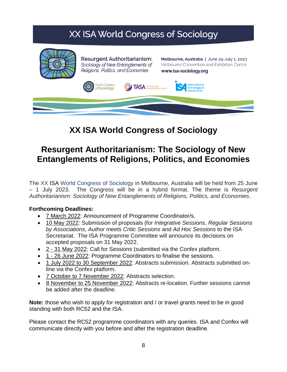# XX ISA World Congress of Sociology



**Resurgent Authoritarianism:** Sociology of New Entanglements of Religions, Politics, and Economies

Melbourne, Australia | June 25-July 1, 2023 Melbourne Convention and Exhibition Centre www.isa-sociology.org



# **XX ISA World Congress of Sociology**

# **Resurgent Authoritarianism: The Sociology of New Entanglements of Religions, Politics, and Economies**

The XX ISA World Congress of Sociology in Melbourne, Australia will be held from 25 June – 1 July 2023. The Congress will be in a hybrid format. The theme is *Resurgent Authoritarianism: Sociology of New Entanglements of Religions, Politics, and Economies*.

#### **Forthcoming Deadlines:**

- 7 March 2022: Announcement of Programme Coordinator/s.
- 10 May 2022: Submission of proposals (for *Integrative Sessions*, *Regular Sessions by Associations*, *Author meets Critic Sessions* and *Ad Hoc Sessions* to the ISA Secretariat. The ISA Programme Committee will announce its decisions on accepted proposals on 31 May 2022.
- 2 31 May 2022: Call for Sessions (submitted via the Confex platform.
- 1 26 June 2022: Programme Coordinators to finalise the sessions.
- 1 July 2022 to 30 September 2022: Abstracts submission. Abstracts submitted online via the Confex platform.
- 7 October to 7 November 2022: Abstracts selection.
- 8 November to 25 November 2022: Abstracts re-location. Further sessions cannot be added after the deadline.

**Note:** those who wish to apply for registration and / or travel grants need to be in good standing with both RC52 and the ISA.

Please contact the RC52 programme coordinators with any queries. ISA and Confex will communicate directly with you before and after the registration deadline.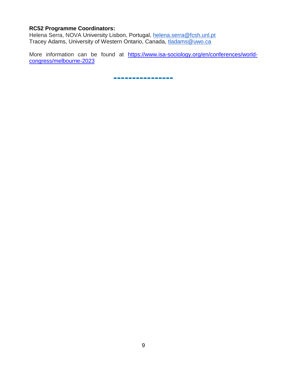#### **RC52 Programme Coordinators:**

Helena Serra, NOVA University Lisbon, Portugal, [helena.serra@fcsh.unl.pt](mailto:helena.serra@fcsh.unl.pt) Tracey Adams, University of Western Ontario, Canada, [tladams@uwo.ca](mailto:tladams@uwo.ca)

More information can be found at [https://www.isa-sociology.org/en/conferences/world](https://www.isa-sociology.org/en/conferences/world-congress/melbourne-2023)[congress/melbourne-2023](https://www.isa-sociology.org/en/conferences/world-congress/melbourne-2023)

**----------------**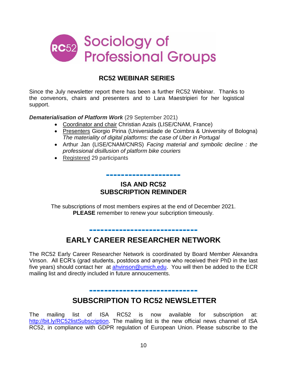

#### **RC52 WEBINAR SERIES**

Since the July newsletter report there has been a further RC52 Webinar. Thanks to the convenors, chairs and presenters and to Lara Maestripieri for her logistical support.

#### *Dematerialisation of Platform Work* (29 September 2021)

- Coordinator and chair Christian Azaïs (LISE/CNAM, France)
- Presenters Giorgio Pirina (Universidade de Coimbra & University of Bologna) *The materiality of digital platforms: the case of Uber in Portugal*
- Arthur Jan (LISE/CNAM/CNRS) *Facing material and symbolic decline : the professional disillusion of platform bike couriers*
- Registered 29 participants

#### **ISA AND RC52 SUBSCRIPTION REMINDER**

**--------------------**

The subscriptions of most members expires at the end of December 2021. **PLEASE** remember to renew your subcription timeously.

## **EARLY CAREER RESEARCHER NETWORK**

**-----------------------------**

The RC52 Early Career Researcher Network is coordinated by Board Member Alexandra Vinson. All ECR's (grad students, postdocs and anyone who received their PhD in the last five years) should contact her at [ahvinson@umich.edu.](mailto:ahvinson@umich.edu) You will then be added to the ECR mailing list and directly included in future annoucements.

## **----------------------------- SUBSCRIPTION TO RC52 NEWSLETTER**

The mailing list of ISA RC52 is now available for subscription at: [http://bit.ly/RC52listSubscription.](http://bit.ly/RC52listSubscription) The mailing list is the new official news channel of ISA RC52, in compliance with GDPR regulation of European Union. Please subscribe to the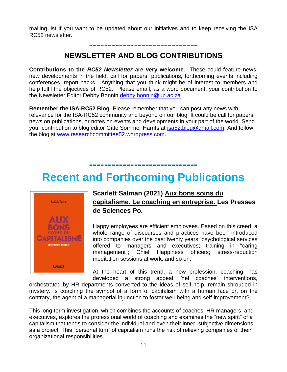mailing list if you want to be updated about our initiatives and to keep receiving the ISA RC52 newsletter.

**-----------------------------**

## **NEWSLETTER AND BLOG CONTRIBUTIONS**

**Contributions to the** *RC52 Newsletter* **are very welcome**. These could feature news, new developments in the field, call for papers, publications, forthcoming events including conferences, report-backs. Anything that you think might be of interest to members and help fulfil the objectives of RC52. Please email, as a word document, your contribution to the Newsletter Editor Debby Bonnin [debby.bonnin@up.ac.za](mailto:debby.bonnin@up.ac.za)

**Remember the ISA-RC52 Blog** Please remember that you can post any news with relevance for the ISA-RC52 community and beyond on our blog! It could be call for papers, news on publications, or notes on events and developments in your part of the world. Send your contribution to blog editor Gitte Sommer Harrits at [isa52.blog@gmail.com.](mailto:isa52.blog@gmail.com) And follow the blog at [www.researchcommittee52.wordpress.com.](http://www.researchcommittee52.wordpress.com/)

# **Recent and Forthcoming Publications**

**-----------------------------**



#### **Scarlett Salman (2021) Aux bons soins du capitalisme. Le coaching en entreprise. Les Presses de Sciences Po.**

Happy employees are efficient employees. Based on this creed, a whole range of discourses and practices have been introduced into companies over the past twenty years: psychological services offered to managers and executives; training in "caring management"; Chief Happiness officers; stress-reduction meditation sessions at work; and so on.

At the heart of this trend, a new profession, coaching, has developed a strong appeal. Yet coaches' interventions,

orchestrated by HR departments converted to the ideas of self-help, remain shrouded in mystery. Is coaching the symbol of a form of capitalism with a human face or, on the contrary, the agent of a managerial injunction to foster well-being and self-improvement?

This long-term investigation, which combines the accounts of coaches, HR managers, and executives, explores the professional world of coaching and examines the "new spirit" of a capitalism that tends to consider the individual and even their inner, subjective dimensions, as a project. This "personal turn" of capitalism runs the risk of relieving companies of their organizational responsibilities.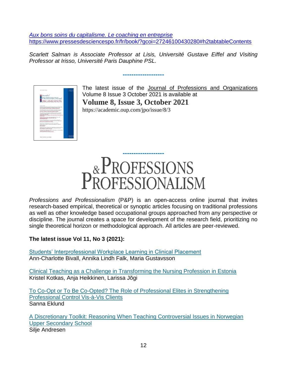*[Aux bons soins du capitalisme. Le coaching en entreprise](https://www.pressesdesciencespo.fr/fr/book/?gcoi=27246100430280#h2tabtableContents)* <https://www.pressesdesciencespo.fr/fr/book/?gcoi=27246100430280#h2tabtableContents>

*Scarlett Salman is Associate Professor at Lisis, Université Gustave Eiffel and Visiting Professor at Irisso, Université Paris Dauphine PSL.* 

**-------------------**



The latest issue of the Journal of Professions and Organizations Volume 8 Issue 3 October 2021 is available at **Volume 8, Issue 3, October 2021** https://academic.oup.com/jpo/issue/8/3



*Professions and Professionalism* (P&P) is an open-access online journal that invites research-based empirical, theoretical or synoptic articles focusing on traditional professions as well as other knowledge based occupational groups approached from any perspective or discipline. The journal creates a space for development of the research field, prioritizing no single theoretical horizon or methodological approach. All articles are peer-reviewed.

**The latest issue Vol 11, No 3 (2021):** 

[Students' Interprofessional Workplace Learning in Clinical Placement](https://journals.oslomet.no/index.php/pp/article/view/4140) Ann-Charlotte Bivall, Annika Lindh Falk, Maria Gustavsson

[Clinical Teaching as a Challenge in Transforming the Nursing Profession in Estonia](https://journals.oslomet.no/index.php/pp/article/view/3995) Kristel Kotkas, Anja Heikkinen, Larissa Jõgi

To Co-Opt or To Be Co-Opted? [The Role of Professional Elites in Strengthening](https://journals.oslomet.no/index.php/pp/article/view/3960)  [Professional Control Vis-à-Vis Clients](https://journals.oslomet.no/index.php/pp/article/view/3960) Sanna Eklund

[A Discretionary Toolkit: Reasoning When Teaching Controversial Issues in Norwegian](https://journals.oslomet.no/index.php/pp/article/view/4362)  [Upper Secondary School](https://journals.oslomet.no/index.php/pp/article/view/4362) Silje Andresen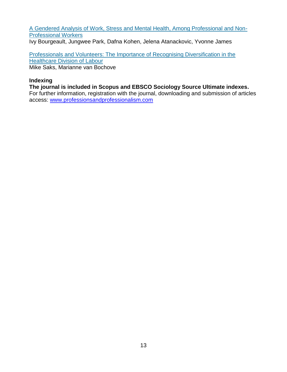[A Gendered Analysis of Work, Stress and Mental Health, Among Professional and Non-](https://journals.oslomet.no/index.php/pp/article/view/4029)[Professional Workers](https://journals.oslomet.no/index.php/pp/article/view/4029)

Ivy Bourgeault, Jungwee Park, Dafna Kohen, Jelena Atanackovic, Yvonne James

[Professionals and Volunteers: The Importance of Recognising Diversification in the](https://journals.oslomet.no/index.php/pp/article/view/3970)  [Healthcare Division of Labour](https://journals.oslomet.no/index.php/pp/article/view/3970) Mike Saks, Marianne van Bochove

#### **Indexing**

**The journal is included in Scopus and EBSCO Sociology Source Ultimate indexes.** 

For further information, registration with the journal, downloading and submission of articles access: [www.professionsandprofessionalism.com](http://www.professionsandprofessionalism.com/)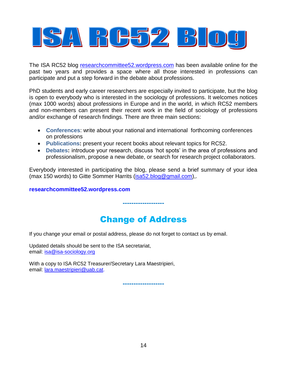

The ISA RC52 blog [researchcommittee52.wordpress.com](http://researchcommittee52.wordpress.com/) has been available online for the past two years and provides a space where all those interested in professions can participate and put a step forward in the debate about professions.

PhD students and early career researchers are especially invited to participate, but the blog is open to everybody who is interested in the sociology of professions. It welcomes notices (max 1000 words) about professions in Europe and in the world, in which RC52 members and non-members can present their recent work in the field of sociology of professions and/or exchange of research findings. There are three main sections:

- **Conferences**: write about your national and international forthcoming conferences on professions
- **Publications:** present your recent books about relevant topics for RC52.
- **Debates:** introduce your research, discuss 'hot spots' in the area of professions and professionalism, propose a new debate, or search for research project collaborators.

Everybody interested in participating the blog, please send a brief summary of your idea (max 150 words) to Gitte Sommer Harrits [\(isa52.blog@gmail.com\)](mailto:isa52.blog@gmail.com),.

**[researchcommittee52.wordpress.com](http://researchcommittee52.wordpress.com/)**

# Change of Address

**-------------------**

If you change your email or postal address, please do not forget to contact us by email.

Updated details should be sent to the ISA secretariat, email: [isa@isa-sociology.org](mailto:isa@isa-sociology.org)

With a copy to ISA RC52 Treasurer/Secretary Lara Maestripieri, email: [lara.maestripieri@uab.cat.](mailto:lara.maestripieri@uab.cat)

**-------------------**